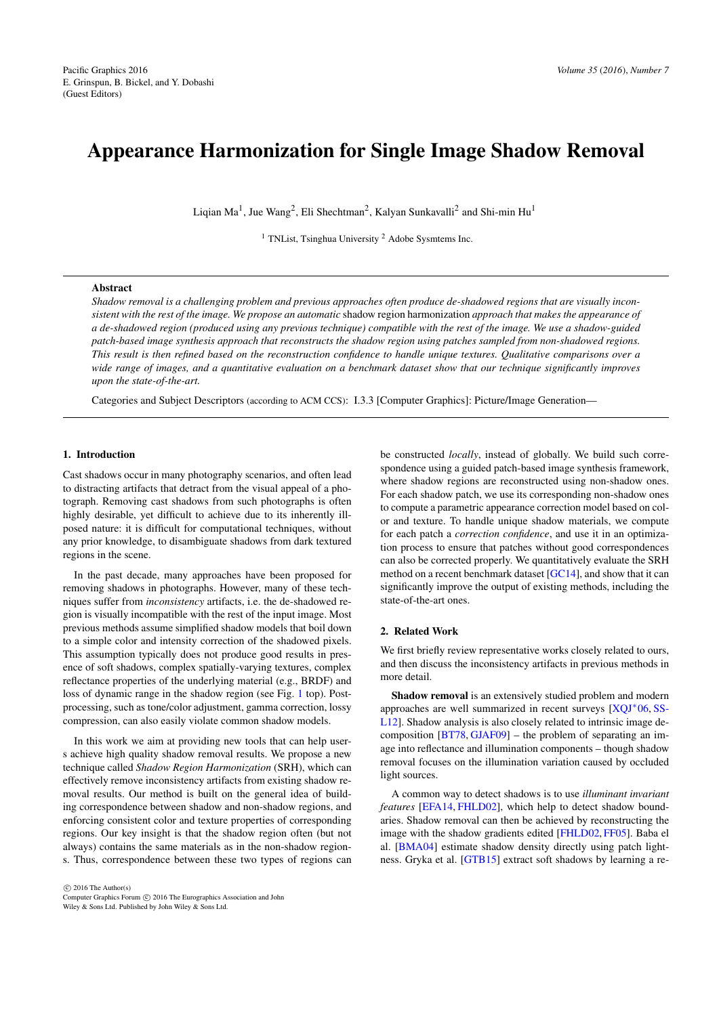# <span id="page-0-0"></span>Appearance Harmonization for Single Image Shadow Removal

Liqian Ma<sup>1</sup>, Jue Wang<sup>2</sup>, Eli Shechtman<sup>2</sup>, Kalyan Sunkavalli<sup>2</sup> and Shi-min Hu<sup>1</sup>

<sup>1</sup> TNList, Tsinghua University  $2$  Adobe Sysmtems Inc.

# Abstract

*Shadow removal is a challenging problem and previous approaches often produce de-shadowed regions that are visually inconsistent with the rest of the image. We propose an automatic* shadow region harmonization *approach that makes the appearance of a de-shadowed region (produced using any previous technique) compatible with the rest of the image. We use a shadow-guided patch-based image synthesis approach that reconstructs the shadow region using patches sampled from non-shadowed regions. This result is then refined based on the reconstruction confidence to handle unique textures. Qualitative comparisons over a wide range of images, and a quantitative evaluation on a benchmark dataset show that our technique significantly improves upon the state-of-the-art.*

Categories and Subject Descriptors (according to ACM CCS): I.3.3 [Computer Graphics]: Picture/Image Generation—

# 1. Introduction

Cast shadows occur in many photography scenarios, and often lead to distracting artifacts that detract from the visual appeal of a photograph. Removing cast shadows from such photographs is often highly desirable, yet difficult to achieve due to its inherently illposed nature: it is difficult for computational techniques, without any prior knowledge, to disambiguate shadows from dark textured regions in the scene.

In the past decade, many approaches have been proposed for removing shadows in photographs. However, many of these techniques suffer from *inconsistency* artifacts, i.e. the de-shadowed region is visually incompatible with the rest of the input image. Most previous methods assume simplified shadow models that boil down to a simple color and intensity correction of the shadowed pixels. This assumption typically does not produce good results in presence of soft shadows, complex spatially-varying textures, complex reflectance properties of the underlying material (e.g., BRDF) and loss of dynamic range in the shadow region (see Fig. [1](#page-1-0) top). Postprocessing, such as tone/color adjustment, gamma correction, lossy compression, can also easily violate common shadow models.

In this work we aim at providing new tools that can help users achieve high quality shadow removal results. We propose a new technique called *Shadow Region Harmonization* (SRH), which can effectively remove inconsistency artifacts from existing shadow removal results. Our method is built on the general idea of building correspondence between shadow and non-shadow regions, and enforcing consistent color and texture properties of corresponding regions. Our key insight is that the shadow region often (but not always) contains the same materials as in the non-shadow regions. Thus, correspondence between these two types of regions can

 $\circled{c}$  2016 The Author(s) Computer Graphics Forum (C) 2016 The Eurographics Association and John Wiley & Sons Ltd. Published by John Wiley & Sons Ltd.

be constructed *locally*, instead of globally. We build such correspondence using a guided patch-based image synthesis framework, where shadow regions are reconstructed using non-shadow ones. For each shadow patch, we use its corresponding non-shadow ones to compute a parametric appearance correction model based on color and texture. To handle unique shadow materials, we compute for each patch a *correction confidence*, and use it in an optimization process to ensure that patches without good correspondences can also be corrected properly. We quantitatively evaluate the SRH method on a recent benchmark dataset [\[GC14\]](#page-7-0), and show that it can significantly improve the output of existing methods, including the state-of-the-art ones.

#### 2. Related Work

We first briefly review representative works closely related to ours, and then discuss the inconsistency artifacts in previous methods in more detail.

Shadow removal is an extensively studied problem and modern approaches are well summarized in recent surveys [\[XQJ](#page-8-0)<sup>∗</sup> 06, [SS-](#page-8-1)[L12\]](#page-8-1). Shadow analysis is also closely related to intrinsic image decomposition [\[BT78,](#page-7-1) [GJAF09\]](#page-8-2) – the problem of separating an image into reflectance and illumination components – though shadow removal focuses on the illumination variation caused by occluded light sources.

A common way to detect shadows is to use *illuminant invariant features* [\[EFA14,](#page-7-2) [FHLD02\]](#page-7-3), which help to detect shadow boundaries. Shadow removal can then be achieved by reconstructing the image with the shadow gradients edited [\[FHLD02,](#page-7-3) [FF05\]](#page-7-4). Baba el al. [\[BMA04\]](#page-7-5) estimate shadow density directly using patch lightness. Gryka et al. [\[GTB15\]](#page-8-3) extract soft shadows by learning a re-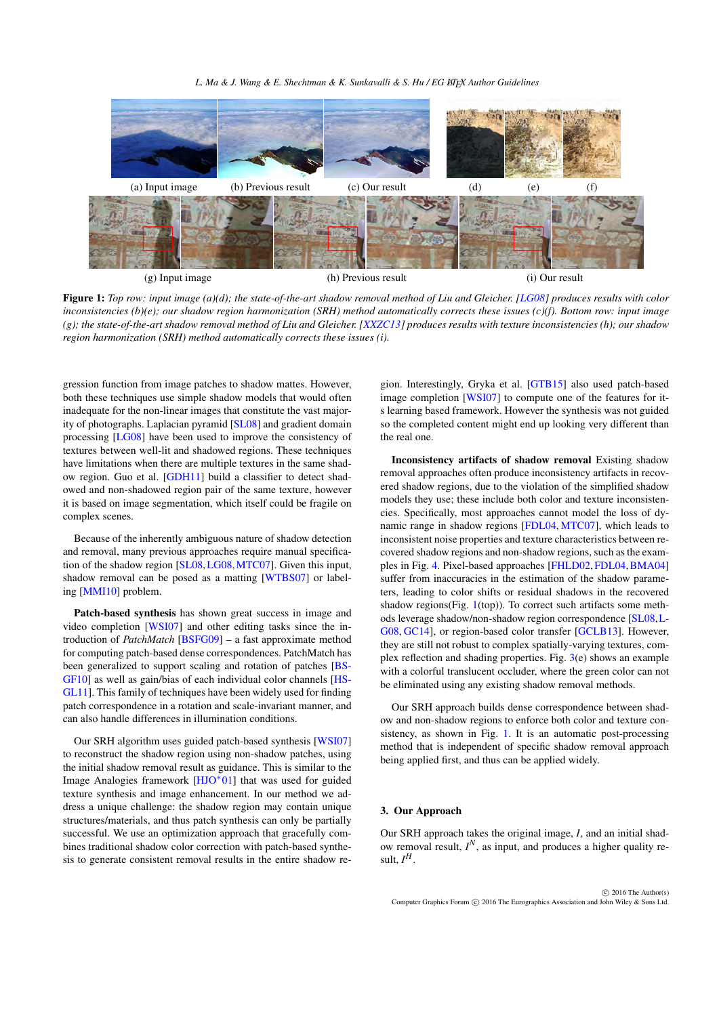*L. Ma & J. Wang & E. Shechtman & K. Sunkavalli & S. Hu / EG LATEX Author Guidelines* 

<span id="page-1-1"></span>

<span id="page-1-0"></span>Figure 1: *Top row: input image (a)(d); the state-of-the-art shadow removal method of Liu and Gleicher. [\[LG08\]](#page-8-4) produces results with color inconsistencies (b)(e); our shadow region harmonization (SRH) method automatically corrects these issues (c)(f). Bottom row: input image (g); the state-of-the-art shadow removal method of Liu and Gleicher. [\[XXZC13\]](#page-8-5) produces results with texture inconsistencies (h); our shadow region harmonization (SRH) method automatically corrects these issues (i).*

gression function from image patches to shadow mattes. However, both these techniques use simple shadow models that would often inadequate for the non-linear images that constitute the vast majority of photographs. Laplacian pyramid [\[SL08\]](#page-8-6) and gradient domain processing [\[LG08\]](#page-8-4) have been used to improve the consistency of textures between well-lit and shadowed regions. These techniques have limitations when there are multiple textures in the same shadow region. Guo et al. [\[GDH11\]](#page-8-7) build a classifier to detect shadowed and non-shadowed region pair of the same texture, however it is based on image segmentation, which itself could be fragile on complex scenes.

Because of the inherently ambiguous nature of shadow detection and removal, many previous approaches require manual specification of the shadow region [\[SL08,](#page-8-6)[LG08,](#page-8-4)[MTC07\]](#page-8-8). Given this input, shadow removal can be posed as a matting [\[WTBS07\]](#page-8-9) or labeling [\[MMI10\]](#page-8-10) problem.

Patch-based synthesis has shown great success in image and video completion [\[WSI07\]](#page-8-11) and other editing tasks since the introduction of *PatchMatch* [\[BSFG09\]](#page-7-6) – a fast approximate method for computing patch-based dense correspondences. PatchMatch has been generalized to support scaling and rotation of patches [\[BS-](#page-7-7)[GF10\]](#page-7-7) as well as gain/bias of each individual color channels [\[HS-](#page-8-12)[GL11\]](#page-8-12). This family of techniques have been widely used for finding patch correspondence in a rotation and scale-invariant manner, and can also handle differences in illumination conditions.

Our SRH algorithm uses guided patch-based synthesis [\[WSI07\]](#page-8-11) to reconstruct the shadow region using non-shadow patches, using the initial shadow removal result as guidance. This is similar to the Image Analogies framework [\[HJO](#page-8-13)<sup>∗</sup> 01] that was used for guided texture synthesis and image enhancement. In our method we address a unique challenge: the shadow region may contain unique structures/materials, and thus patch synthesis can only be partially successful. We use an optimization approach that gracefully combines traditional shadow color correction with patch-based synthesis to generate consistent removal results in the entire shadow re-

gion. Interestingly, Gryka et al. [\[GTB15\]](#page-8-3) also used patch-based image completion [\[WSI07\]](#page-8-11) to compute one of the features for its learning based framework. However the synthesis was not guided so the completed content might end up looking very different than the real one.

Inconsistency artifacts of shadow removal Existing shadow removal approaches often produce inconsistency artifacts in recovered shadow regions, due to the violation of the simplified shadow models they use; these include both color and texture inconsistencies. Specifically, most approaches cannot model the loss of dynamic range in shadow regions [\[FDL04,](#page-7-8) [MTC07\]](#page-8-8), which leads to inconsistent noise properties and texture characteristics between recovered shadow regions and non-shadow regions, such as the examples in Fig. [4.](#page-5-0) Pixel-based approaches [\[FHLD02,](#page-7-3)[FDL04,](#page-7-8)[BMA04\]](#page-7-5) suffer from inaccuracies in the estimation of the shadow parameters, leading to color shifts or residual shadows in the recovered shadow regions(Fig. [1\(](#page-1-0)top)). To correct such artifacts some methods leverage shadow/non-shadow region correspondence [\[SL08,](#page-8-6)[L-](#page-8-4)[G08,](#page-8-4) [GC14\]](#page-7-0), or region-based color transfer [\[GCLB13\]](#page-8-14). However, they are still not robust to complex spatially-varying textures, complex reflection and shading properties. Fig. [3\(](#page-4-0)e) shows an example with a colorful translucent occluder, where the green color can not be eliminated using any existing shadow removal methods.

Our SRH approach builds dense correspondence between shadow and non-shadow regions to enforce both color and texture consistency, as shown in Fig. [1.](#page-1-0) It is an automatic post-processing method that is independent of specific shadow removal approach being applied first, and thus can be applied widely.

## 3. Our Approach

Our SRH approach takes the original image, *I*, and an initial shadow removal result,  $I^N$ , as input, and produces a higher quality result,  $I^H$ .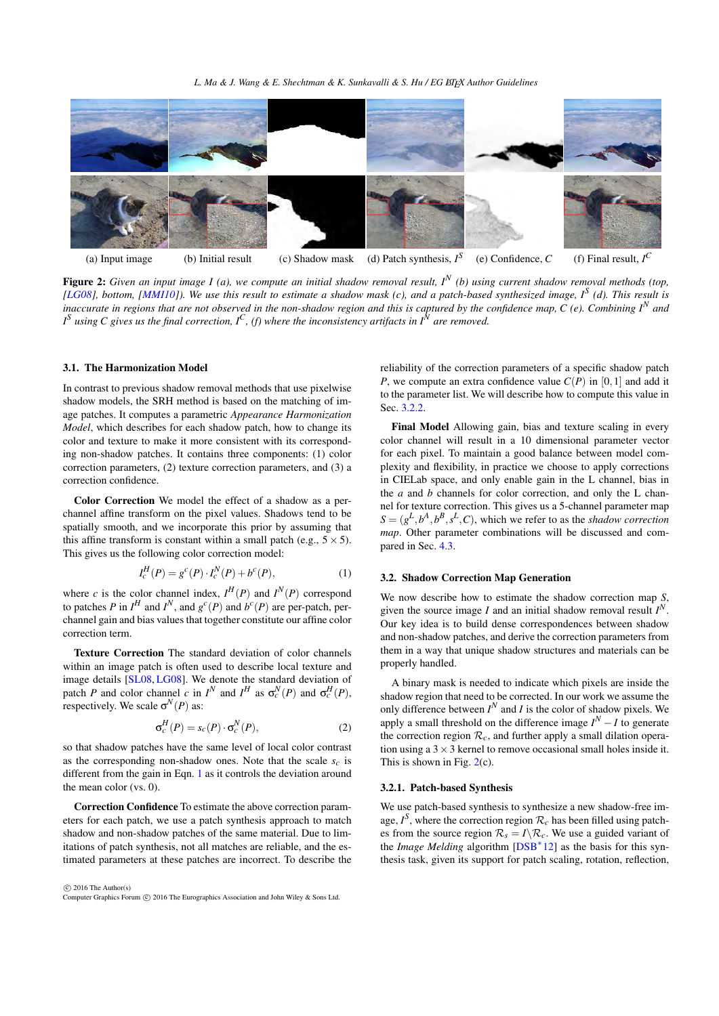*L. Ma & J. Wang & E. Shechtman & K. Sunkavalli & S. Hu / EG LATEX Author Guidelines* 

<span id="page-2-4"></span>

<span id="page-2-1"></span>Figure 2: *Given an input image I (a), we compute an initial shadow removal result, I<sup>N</sup> (b) using current shadow removal methods (top, [\[LG08\]](#page-8-4), bottom, [\[MMI10\]](#page-8-10)). We use this result to estimate a shadow mask (c), and a patch-based synthesized image, I<sup>S</sup> (d). This result is inaccurate in regions that are not observed in the non-shadow region and this is captured by the confidence map,*  $C$  *(e). Combining*  $I^N$  *and I S using C gives us the final correction, I<sup>C</sup> , (f) where the inconsistency artifacts in I<sup>N</sup> are removed.*

#### <span id="page-2-2"></span>3.1. The Harmonization Model

In contrast to previous shadow removal methods that use pixelwise shadow models, the SRH method is based on the matching of image patches. It computes a parametric *Appearance Harmonization Model*, which describes for each shadow patch, how to change its color and texture to make it more consistent with its corresponding non-shadow patches. It contains three components: (1) color correction parameters, (2) texture correction parameters, and (3) a correction confidence.

Color Correction We model the effect of a shadow as a perchannel affine transform on the pixel values. Shadows tend to be spatially smooth, and we incorporate this prior by assuming that this affine transform is constant within a small patch (e.g.,  $5 \times 5$ ). This gives us the following color correction model:

$$
I_c^H(P) = g^c(P) \cdot I_c^N(P) + b^c(P), \tag{1}
$$

where *c* is the color channel index,  $I^H(P)$  and  $I^N(P)$  correspond to patches *P* in  $I^H$  and  $I^N$ , and  $g^c(P)$  and  $b^c(P)$  are per-patch, perchannel gain and bias values that together constitute our affine color correction term.

Texture Correction The standard deviation of color channels within an image patch is often used to describe local texture and image details [\[SL08,](#page-8-6) [LG08\]](#page-8-4). We denote the standard deviation of patch *P* and color channel *c* in  $I^N$  and  $I^H$  as  $\sigma_c^N(P)$  and  $\sigma_c^H(P)$ , respectively. We scale  $\sigma^N(P)$  as:

$$
\sigma_c^H(P) = s_c(P) \cdot \sigma_c^N(P), \qquad (2)
$$

so that shadow patches have the same level of local color contrast as the corresponding non-shadow ones. Note that the scale *sc* is different from the gain in Eqn. [1](#page-2-0) as it controls the deviation around the mean color (vs. 0).

Correction Confidence To estimate the above correction parameters for each patch, we use a patch synthesis approach to match shadow and non-shadow patches of the same material. Due to limitations of patch synthesis, not all matches are reliable, and the estimated parameters at these patches are incorrect. To describe the

 $\odot$  2016 The Author(s) Computer Graphics Forum (C) 2016 The Eurographics Association and John Wiley & Sons Ltd. reliability of the correction parameters of a specific shadow patch *P*, we compute an extra confidence value  $C(P)$  in [0,1] and add it to the parameter list. We will describe how to compute this value in Sec. [3.2.2.](#page-3-0)

Final Model Allowing gain, bias and texture scaling in every color channel will result in a 10 dimensional parameter vector for each pixel. To maintain a good balance between model complexity and flexibility, in practice we choose to apply corrections in CIELab space, and only enable gain in the L channel, bias in the *a* and *b* channels for color correction, and only the L channel for texture correction. This gives us a 5-channel parameter map  $S = (g^L, b^A, b^B, s^L, C)$ , which we refer to as the *shadow correction map*. Other parameter combinations will be discussed and compared in Sec. [4.3.](#page-6-0)

## <span id="page-2-0"></span>3.2. Shadow Correction Map Generation

We now describe how to estimate the shadow correction map *S*, given the source image *I* and an initial shadow removal result  $I^N$ . Our key idea is to build dense correspondences between shadow and non-shadow patches, and derive the correction parameters from them in a way that unique shadow structures and materials can be properly handled.

A binary mask is needed to indicate which pixels are inside the shadow region that need to be corrected. In our work we assume the only difference between  $I^N$  and  $I$  is the color of shadow pixels. We apply a small threshold on the difference image  $I^N - I$  to generate the correction region  $\mathcal{R}_c$ , and further apply a small dilation operation using a  $3 \times 3$  kernel to remove occasional small holes inside it. This is shown in Fig. [2\(](#page-2-1)c).

## <span id="page-2-3"></span>3.2.1. Patch-based Synthesis

We use patch-based synthesis to synthesize a new shadow-free image,  $I^S$ , where the correction region  $\mathcal{R}_c$  has been filled using patches from the source region  $\mathcal{R}_s = I \backslash \mathcal{R}_c$ . We use a guided variant of the *Image Melding* algorithm [\[DSB](#page-7-9)<sup>∗</sup> 12] as the basis for this synthesis task, given its support for patch scaling, rotation, reflection,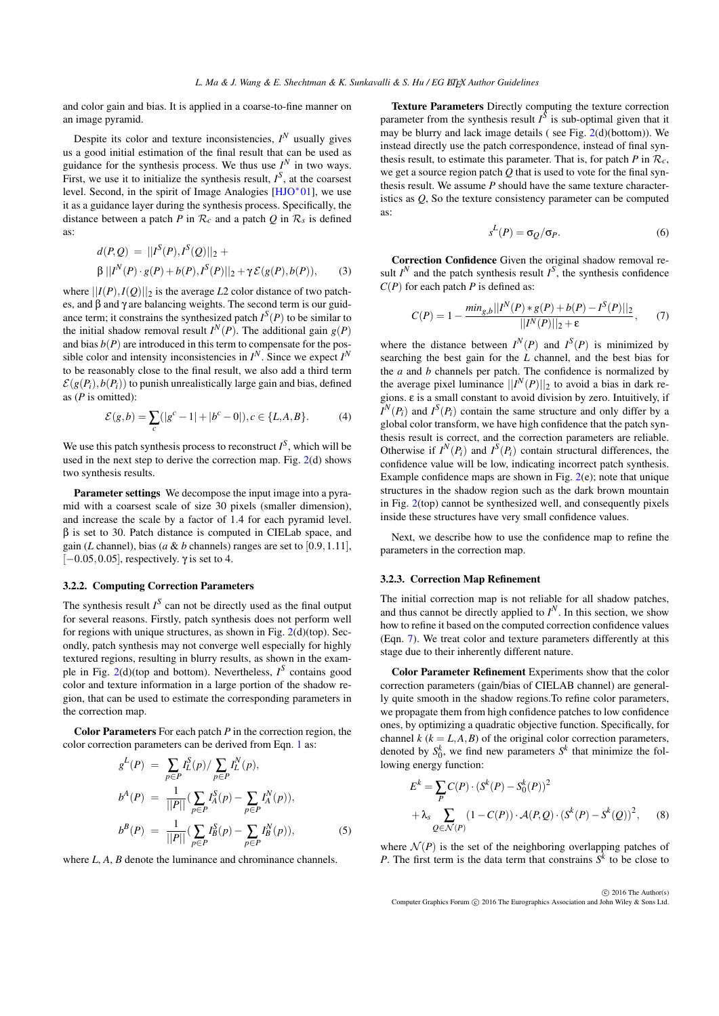<span id="page-3-4"></span>and color gain and bias. It is applied in a coarse-to-fine manner on an image pyramid.

Despite its color and texture inconsistencies,  $I^N$  usually gives us a good initial estimation of the final result that can be used as guidance for the synthesis process. We thus use  $I^N$  in two ways. First, we use it to initialize the synthesis result,  $I<sup>S</sup>$ , at the coarsest level. Second, in the spirit of Image Analogies [\[HJO](#page-8-13)<sup>∗</sup> 01], we use it as a guidance layer during the synthesis process. Specifically, the distance between a patch *P* in  $\mathcal{R}_c$  and a patch *Q* in  $\mathcal{R}_s$  is defined as:

$$
d(P,Q) = ||I^{S}(P), I^{S}(Q)||_{2} +
$$
  
 
$$
\beta ||I^{N}(P) \cdot g(P) + b(P), I^{S}(P)||_{2} + \gamma \mathcal{E}(g(P), b(P)),
$$
 (3)

where  $||I(P),I(Q)||_2$  is the average *L*2 color distance of two patches, and β and γ are balancing weights. The second term is our guidance term; it constrains the synthesized patch  $I^S(P)$  to be similar to the initial shadow removal result  $I^N(P)$ . The additional gain  $g(P)$ and bias  $b(P)$  are introduced in this term to compensate for the possible color and intensity inconsistencies in  $I^N$ . Since we expect  $I^N$ to be reasonably close to the final result, we also add a third term  $\mathcal{E}(g(P_i), b(P_i))$  to punish unrealistically large gain and bias, defined as (*P* is omitted):

$$
\mathcal{E}(g,b) = \sum_{c} (|g^{c} - 1| + |b^{c} - 0|), c \in \{L, A, B\}.
$$
 (4)

We use this patch synthesis process to reconstruct  $I<sup>S</sup>$ , which will be used in the next step to derive the correction map. Fig. [2\(](#page-2-1)d) shows two synthesis results.

Parameter settings We decompose the input image into a pyramid with a coarsest scale of size 30 pixels (smaller dimension), and increase the scale by a factor of 1.4 for each pyramid level. β is set to 30. Patch distance is computed in CIELab space, and gain (*L* channel), bias (*a* & *b* channels) ranges are set to [0.9, 1.11],  $[-0.05, 0.05]$ , respectively.  $\gamma$  is set to 4.

# <span id="page-3-0"></span>3.2.2. Computing Correction Parameters

The synthesis result  $I^S$  can not be directly used as the final output for several reasons. Firstly, patch synthesis does not perform well for regions with unique structures, as shown in Fig. [2\(](#page-2-1)d)(top). Secondly, patch synthesis may not converge well especially for highly textured regions, resulting in blurry results, as shown in the example in Fig.  $2(d)$  $2(d)$ (top and bottom). Nevertheless,  $I^S$  contains good color and texture information in a large portion of the shadow region, that can be used to estimate the corresponding parameters in the correction map.

Color Parameters For each patch *P* in the correction region, the color correction parameters can be derived from Eqn. [1](#page-2-0) as:

<span id="page-3-3"></span>
$$
g^{L}(P) = \sum_{p \in P} I_{L}^{S}(p) / \sum_{p \in P} I_{L}^{N}(p),
$$
  
\n
$$
b^{A}(P) = \frac{1}{||P||} (\sum_{p \in P} I_{A}^{S}(p) - \sum_{p \in P} I_{A}^{N}(p)),
$$
  
\n
$$
b^{B}(P) = \frac{1}{||P||} (\sum_{p \in P} I_{B}^{S}(p) - \sum_{p \in P} I_{B}^{N}(p)),
$$
\n(5)

where *L*, *A*, *B* denote the luminance and chrominance channels.

Texture Parameters Directly computing the texture correction parameter from the synthesis result  $I^{\tilde{S}}$  is sub-optimal given that it may be blurry and lack image details ( see Fig. [2\(](#page-2-1)d)(bottom)). We instead directly use the patch correspondence, instead of final synthesis result, to estimate this parameter. That is, for patch  $P$  in  $\mathcal{R}_c$ , we get a source region patch *Q* that is used to vote for the final synthesis result. We assume *P* should have the same texture characteristics as *Q*, So the texture consistency parameter can be computed as:

<span id="page-3-1"></span>
$$
s^L(P) = \sigma_Q/\sigma_P. \tag{6}
$$

<span id="page-3-2"></span>Correction Confidence Given the original shadow removal result  $I^N$  and the patch synthesis result  $I^S$ , the synthesis confidence *C*(*P*) for each patch *P* is defined as:

$$
C(P) = 1 - \frac{\min_{g,b} ||I^N(P) * g(P) + b(P) - I^S(P)||_2}{||I^N(P)||_2 + \varepsilon}, \qquad (7)
$$

where the distance between  $I^N(P)$  and  $I^S(P)$  is minimized by searching the best gain for the *L* channel, and the best bias for the *a* and *b* channels per patch. The confidence is normalized by the average pixel luminance  $||I^N(P)||_2$  to avoid a bias in dark regions. ε is a small constant to avoid division by zero. Intuitively, if  $I^N(P_i)$  and  $I^S(P_i)$  contain the same structure and only differ by a global color transform, we have high confidence that the patch synthesis result is correct, and the correction parameters are reliable. Otherwise if  $I^N(P_i)$  and  $I^S(P_i)$  contain structural differences, the confidence value will be low, indicating incorrect patch synthesis. Example confidence maps are shown in Fig. [2\(](#page-2-1)e); note that unique structures in the shadow region such as the dark brown mountain in Fig. [2\(](#page-2-1)top) cannot be synthesized well, and consequently pixels inside these structures have very small confidence values.

Next, we describe how to use the confidence map to refine the parameters in the correction map.

## 3.2.3. Correction Map Refinement

The initial correction map is not reliable for all shadow patches, and thus cannot be directly applied to  $I^N$ . In this section, we show how to refine it based on the computed correction confidence values (Eqn. [7\)](#page-3-1). We treat color and texture parameters differently at this stage due to their inherently different nature.

Color Parameter Refinement Experiments show that the color correction parameters (gain/bias of CIELAB channel) are generally quite smooth in the shadow regions.To refine color parameters, we propagate them from high confidence patches to low confidence ones, by optimizing a quadratic objective function. Specifically, for channel  $k$  ( $k = L, A, B$ ) of the original color correction parameters, denoted by  $S_0^k$ , we find new parameters  $S^k$  that minimize the following energy function:

$$
E^{k} = \sum_{P} C(P) \cdot (S^{k}(P) - S_{0}^{k}(P))^{2}
$$
  
+  $\lambda_{s} \sum_{Q \in \mathcal{N}(P)} (1 - C(P)) \cdot \mathcal{A}(P,Q) \cdot (S^{k}(P) - S^{k}(Q))^{2}$ , (8)

where  $\mathcal{N}(P)$  is the set of the neighboring overlapping patches of *P*. The first term is the data term that constrains  $S<sup>k</sup>$  to be close to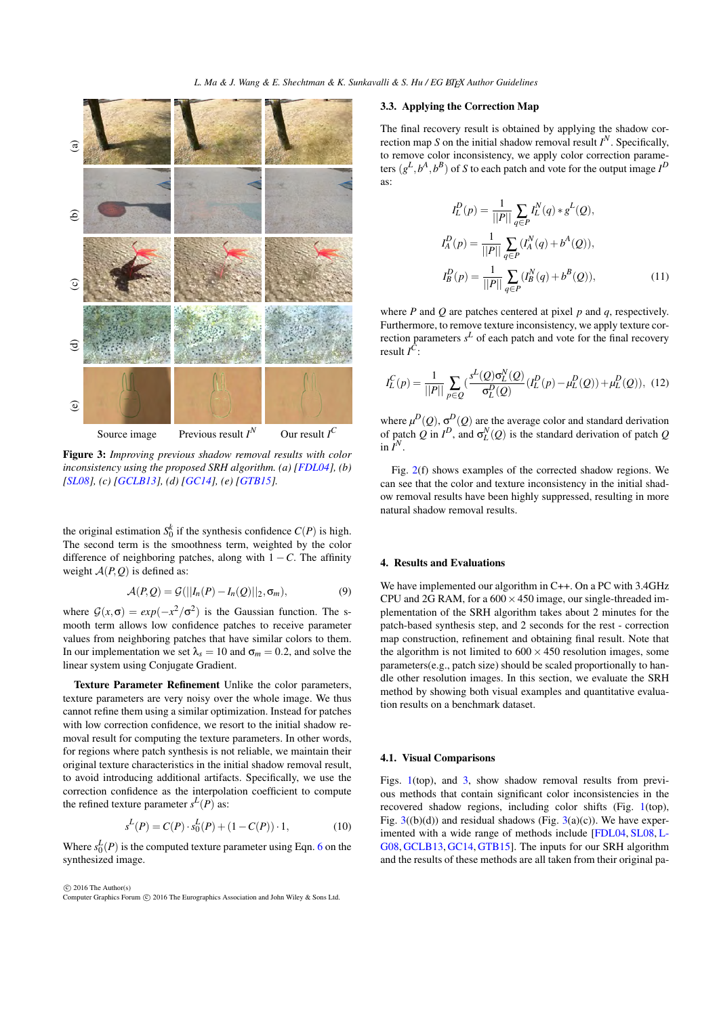<span id="page-4-2"></span>

<span id="page-4-0"></span>Figure 3: *Improving previous shadow removal results with color inconsistency using the proposed SRH algorithm. (a) [\[FDL04\]](#page-7-8), (b) [\[SL08\]](#page-8-6), (c) [\[GCLB13\]](#page-8-14), (d) [\[GC14\]](#page-7-0), (e) [\[GTB15\]](#page-8-3).*

the original estimation  $S_0^k$  if the synthesis confidence  $C(P)$  is high. The second term is the smoothness term, weighted by the color difference of neighboring patches, along with  $1 - C$ . The affinity weight  $A(P, Q)$  is defined as:

$$
\mathcal{A}(P,Q) = \mathcal{G}(||I_n(P) - I_n(Q)||_2, \sigma_m),
$$
\n(9)

where  $G(x, \sigma) = exp(-x^2/\sigma^2)$  is the Gaussian function. The smooth term allows low confidence patches to receive parameter values from neighboring patches that have similar colors to them. In our implementation we set  $\lambda_s = 10$  and  $\sigma_m = 0.2$ , and solve the linear system using Conjugate Gradient.

Texture Parameter Refinement Unlike the color parameters, texture parameters are very noisy over the whole image. We thus cannot refine them using a similar optimization. Instead for patches with low correction confidence, we resort to the initial shadow removal result for computing the texture parameters. In other words, for regions where patch synthesis is not reliable, we maintain their original texture characteristics in the initial shadow removal result, to avoid introducing additional artifacts. Specifically, we use the correction confidence as the interpolation coefficient to compute the refined texture parameter  $s^L(P)$  as:

$$
s^{L}(P) = C(P) \cdot s_0^{L}(P) + (1 - C(P)) \cdot 1,
$$
\n(10)

Where  $s_0^L(P)$  is the computed texture parameter using Eqn. [6](#page-3-2) on the synthesized image.

 $\circ$  2016 The Author(s) Computer Graphics Forum (C) 2016 The Eurographics Association and John Wiley & Sons Ltd.

#### 3.3. Applying the Correction Map

The final recovery result is obtained by applying the shadow correction map *S* on the initial shadow removal result  $I<sup>N</sup>$ . Specifically, to remove color inconsistency, we apply color correction parameters  $(g^L, b^A, b^B)$  of *S* to each patch and vote for the output image  $I^D$ as:

$$
I_L^D(p) = \frac{1}{||P||} \sum_{q \in P} I_L^N(q) * g^L(Q),
$$
  
\n
$$
I_A^D(p) = \frac{1}{||P||} \sum_{q \in P} (I_A^N(q) + b^A(Q)),
$$
  
\n
$$
I_B^D(p) = \frac{1}{||P||} \sum_{q \in P} (I_B^N(q) + b^B(Q)),
$$
\n(11)

where *P* and *Q* are patches centered at pixel *p* and *q*, respectively. Furthermore, to remove texture inconsistency, we apply texture correction parameters  $s^L$  of each patch and vote for the final recovery result *I C* :

<span id="page-4-1"></span>
$$
I_L^C(p) = \frac{1}{||P||} \sum_{p \in Q} \left( \frac{s^L(Q)\sigma_L^N(Q)}{\sigma_L^D(Q)} (I_L^D(p) - \mu_L^D(Q)) + \mu_L^D(Q) \right), \tag{12}
$$

where  $\mu^D(Q)$ ,  $\sigma^D(Q)$  are the average color and standard derivation of patch *Q* in  $I^D$ , and  $\sigma_L^N(Q)$  is the standard derivation of patch *Q* in  $\tilde{I}^N$ .

Fig. [2\(](#page-2-1)f) shows examples of the corrected shadow regions. We can see that the color and texture inconsistency in the initial shadow removal results have been highly suppressed, resulting in more natural shadow removal results.

## 4. Results and Evaluations

We have implemented our algorithm in C++. On a PC with 3.4GHz CPU and 2G RAM, for a  $600 \times 450$  image, our single-threaded implementation of the SRH algorithm takes about 2 minutes for the patch-based synthesis step, and 2 seconds for the rest - correction map construction, refinement and obtaining final result. Note that the algorithm is not limited to  $600 \times 450$  resolution images, some parameters(e.g., patch size) should be scaled proportionally to handle other resolution images. In this section, we evaluate the SRH method by showing both visual examples and quantitative evaluation results on a benchmark dataset.

# 4.1. Visual Comparisons

Figs. [1\(](#page-1-0)top), and [3,](#page-4-0) show shadow removal results from previous methods that contain significant color inconsistencies in the recovered shadow regions, including color shifts (Fig. [1\(](#page-1-0)top), Fig.  $3(2a)(d)$  $3(2a)(d)$  and residual shadows (Fig.  $3(a)(c)$ ). We have experimented with a wide range of methods include [\[FDL04,](#page-7-8) [SL08,](#page-8-6) [L-](#page-8-4)[G08,](#page-8-4) [GCLB13,](#page-8-14) [GC14,](#page-7-0) [GTB15\]](#page-8-3). The inputs for our SRH algorithm and the results of these methods are all taken from their original pa-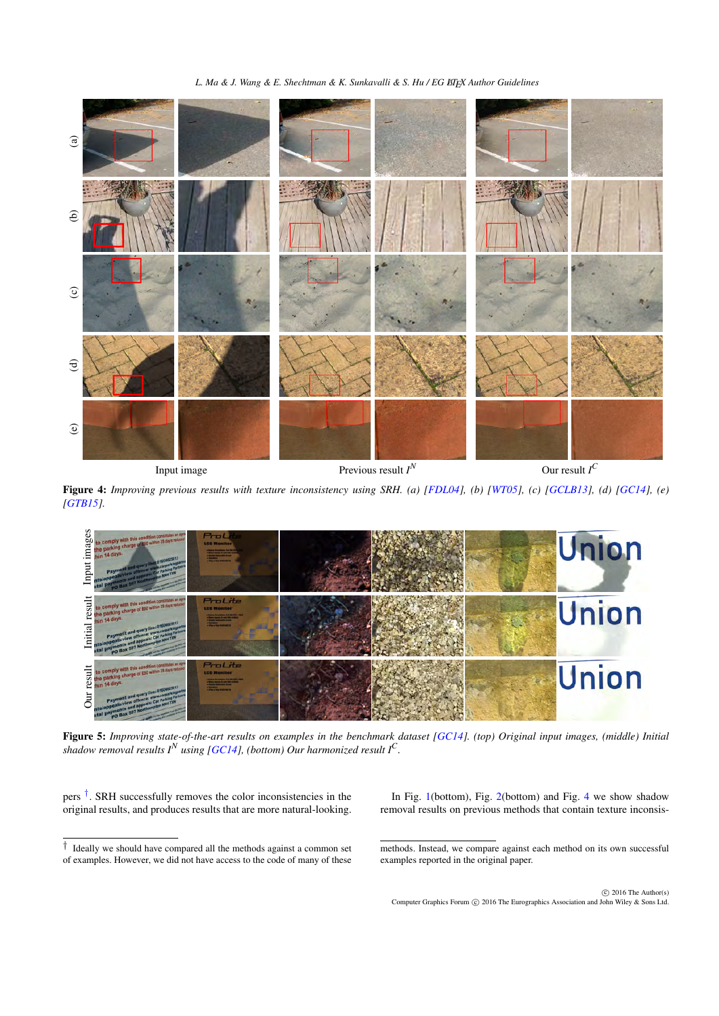*L. Ma & J. Wang & E. Shechtman & K. Sunkavalli & S. Hu / EG BTEX Author Guidelines* 

<span id="page-5-3"></span>

<span id="page-5-0"></span>

Figure 4: *Improving previous results with texture inconsistency using SRH. (a) [\[FDL04\]](#page-7-8), (b) [\[WT05\]](#page-8-15), (c) [\[GCLB13\]](#page-8-14), (d) [\[GC14\]](#page-7-0), (e) [\[GTB15\]](#page-8-3).*



<span id="page-5-2"></span>Figure 5: *Improving state-of-the-art results on examples in the benchmark dataset [\[GC14\]](#page-7-0)*. (top) Original input images, (middle) Initial shadow removal results  $I^N$  using [\[GC14\]](#page-7-0), (bottom) Our harmonized result  $I^C$ .

pers<sup>[†](#page-5-1)</sup>. SRH successfully removes the color inconsistencies in the original results, and produces results that are more natural-looking.

<span id="page-5-1"></span>† Ideally we should have compared all the methods against a common set of examples. However, we did not have access to the code of many of these

In Fig. [1\(](#page-1-0)bottom), Fig. [2\(](#page-2-1)bottom) and Fig. [4](#page-5-0) we show shadow removal results on previous methods that contain texture inconsis-

methods. Instead, we compare against each method on its own successful examples reported in the original paper.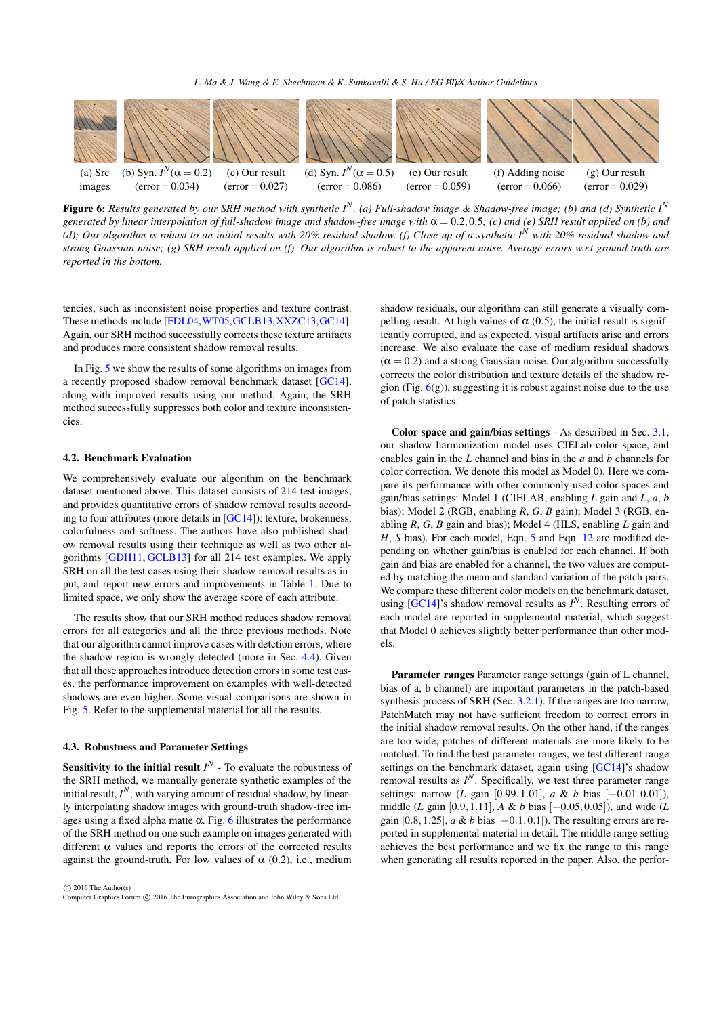<span id="page-6-2"></span>

<span id="page-6-1"></span>Figure 6: *Results generated by our SRH method with synthetic I<sup>N</sup> . (a) Full-shadow image & Shadow-free image; (b) and (d) Synthetic I<sup>N</sup> generated by linear interpolation of full-shadow image and shadow-free image with*  $\alpha$  = 0.2,0.5*;* (*c)* and (*e)* SRH result applied on (*b)* and *(d); Our algorithm is robust to an initial results with 20% residual shadow. (f) Close-up of a synthetic I<sup>N</sup> with 20% residual shadow and strong Gaussian noise; (g) SRH result applied on (f). Our algorithm is robust to the apparent noise. Average errors w.r.t ground truth are reported in the bottom.*

tencies, such as inconsistent noise properties and texture contrast. These methods include [\[FDL04,](#page-7-8)[WT05,](#page-8-15)[GCLB13,](#page-8-14)[XXZC13,](#page-8-5)[GC14\]](#page-7-0). Again, our SRH method successfully corrects these texture artifacts and produces more consistent shadow removal results.

In Fig. [5](#page-5-2) we show the results of some algorithms on images from a recently proposed shadow removal benchmark dataset [\[GC14\]](#page-7-0), along with improved results using our method. Again, the SRH method successfully suppresses both color and texture inconsistencies.

# 4.2. Benchmark Evaluation

We comprehensively evaluate our algorithm on the benchmark dataset mentioned above. This dataset consists of 214 test images, and provides quantitative errors of shadow removal results according to four attributes (more details in [\[GC14\]](#page-7-0)): texture, brokenness, colorfulness and softness. The authors have also published shadow removal results using their technique as well as two other algorithms [\[GDH11,](#page-8-7) [GCLB13\]](#page-8-14) for all 214 test examples. We apply SRH on all the test cases using their shadow removal results as input, and report new errors and improvements in Table [1.](#page-7-10) Due to limited space, we only show the average score of each attribute.

The results show that our SRH method reduces shadow removal errors for all categories and all the three previous methods. Note that our algorithm cannot improve cases with detction errors, where the shadow region is wrongly detected (more in Sec. [4.4\)](#page-7-11). Given that all these approaches introduce detection errors in some test cases, the performance improvement on examples with well-detected shadows are even higher. Some visual comparisons are shown in Fig. [5.](#page-5-2) Refer to the supplemental material for all the results.

#### <span id="page-6-0"></span>4.3. Robustness and Parameter Settings

**Sensitivity to the initial result**  $I^N$  - To evaluate the robustness of the SRH method, we manually generate synthetic examples of the initial result,  $I^N$ , with varying amount of residual shadow, by linearly interpolating shadow images with ground-truth shadow-free images using a fixed alpha matte  $\alpha$ . Fig. [6](#page-6-1) illustrates the performance of the SRH method on one such example on images generated with different  $\alpha$  values and reports the errors of the corrected results against the ground-truth. For low values of  $\alpha$  (0.2), i.e., medium

 $\odot$  2016 The Author(s) Computer Graphics Forum (C) 2016 The Eurographics Association and John Wiley & Sons Ltd. shadow residuals, our algorithm can still generate a visually compelling result. At high values of  $\alpha$  (0.5), the initial result is significantly corrupted, and as expected, visual artifacts arise and errors increase. We also evaluate the case of medium residual shadows  $(\alpha = 0.2)$  and a strong Gaussian noise. Our algorithm successfully corrects the color distribution and texture details of the shadow region (Fig.  $6(g)$  $6(g)$ ), suggesting it is robust against noise due to the use of patch statistics.

Color space and gain/bias settings - As described in Sec. [3.1,](#page-2-2) our shadow harmonization model uses CIELab color space, and enables gain in the *L* channel and bias in the *a* and *b* channels for color correction. We denote this model as Model 0). Here we compare its performance with other commonly-used color spaces and gain/bias settings: Model 1 (CIELAB, enabling *L* gain and *L*, *a*, *b* bias); Model 2 (RGB, enabling *R*, *G*, *B* gain); Model 3 (RGB, enabling *R*, *G*, *B* gain and bias); Model 4 (HLS, enabling *L* gain and *H*, *S* bias). For each model, Eqn. [5](#page-3-3) and Eqn. [12](#page-4-1) are modified depending on whether gain/bias is enabled for each channel. If both gain and bias are enabled for a channel, the two values are computed by matching the mean and standard variation of the patch pairs. We compare these different color models on the benchmark dataset, using  $[GC14]$ 's shadow removal results as  $I^N$ . Resulting errors of each model are reported in supplemental material, which suggest that Model 0 achieves slightly better performance than other models.

Parameter ranges Parameter range settings (gain of L channel, bias of a, b channel) are important parameters in the patch-based synthesis process of SRH (Sec. [3.2.1\)](#page-2-3). If the ranges are too narrow, PatchMatch may not have sufficient freedom to correct errors in the initial shadow removal results. On the other hand, if the ranges are too wide, patches of different materials are more likely to be matched. To find the best parameter ranges, we test different range settings on the benchmark dataset, again using [\[GC14\]](#page-7-0)'s shadow removal results as  $I^N$ . Specifically, we test three parameter range settings: narrow (*L* gain [0.99,1.01], *a* & *b* bias [−0.01,0.01]), middle (*L* gain [0.9,1.11], *A* & *b* bias [−0.05,0.05]), and wide (*L* gain  $[0.8, 1.25]$ , *a & b* bias  $[-0.1, 0.1]$ ). The resulting errors are reported in supplemental material in detail. The middle range setting achieves the best performance and we fix the range to this range when generating all results reported in the paper. Also, the perfor-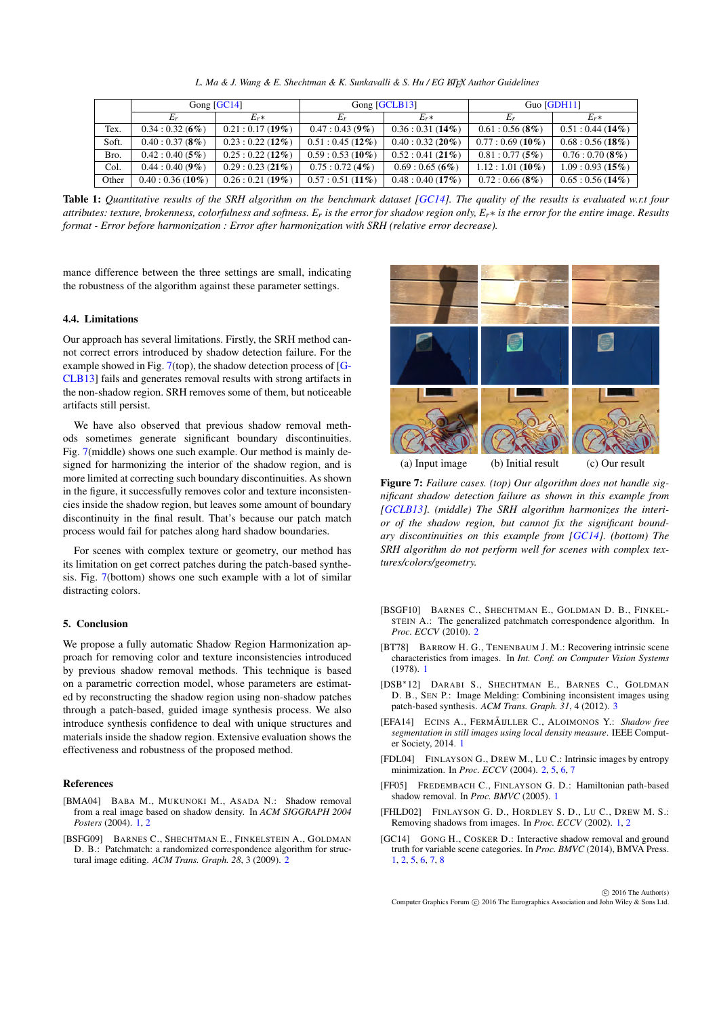| L. Ma & J. Wang & E. Shechtman & K. Sunkavalli & S. Hu / EG ETFX Author Guidelines |  |
|------------------------------------------------------------------------------------|--|
|------------------------------------------------------------------------------------|--|

<span id="page-7-13"></span>

|       | Gong $[GC14]$     |                   | Gong [GCLB13]     |                   | Guo $[GDH11]$     |                   |  |  |
|-------|-------------------|-------------------|-------------------|-------------------|-------------------|-------------------|--|--|
|       | $E_r$             | $E_r*$            | E.                | $E_r*$            | Er                | $E_r*$            |  |  |
| Tex.  | $0.34:0.32(6\%)$  | $0.21:0.17(19\%)$ | $0.47:0.43(9\%)$  | $0.36:0.31(14\%)$ | $0.61:0.56(8\%)$  | $0.51:0.44(14\%)$ |  |  |
| Soft. | 0.40:0.37(8%)     | $0.23:0.22(12\%)$ | $0.51:0.45(12\%)$ | $0.40:0.32(20\%)$ | $0.77:0.69(10\%)$ | 0.68:0.56(18%)    |  |  |
| Bro.  | $0.42:0.40(5\%)$  | $0.25:0.22(12\%)$ | $0.59:0.53(10\%)$ | 0.52:0.41(21%)    | $0.81:0.77(5\%)$  | 0.76:0.70(8%)     |  |  |
| Col.  | $0.44:0.40(9\%)$  | 0.29:0.23(21%)    | $0.75:0.72(4\%)$  | $0.69:0.65(6\%)$  | $1.12:1.01(10\%)$ | 1.09:0.93(15%)    |  |  |
| Other | $0.40:0.36(10\%)$ | 0.26:0.21(19%)    | $0.57:0.51(11\%)$ | 0.48:0.40(17%)    | $0.72:0.66(8\%)$  | $0.65:0.56(14\%)$ |  |  |

<span id="page-7-10"></span>Table 1: Quantitative results of the SRH algorithm on the benchmark dataset [\[GC14\]](#page-7-0). The quality of the results is evaluated w.r.t four *attributes: texture, brokenness, colorfulness and softness. Er is the error for shadow region only, Er*∗ *is the error for the entire image. Results format - Error before harmonization : Error after harmonization with SRH (relative error decrease).*

mance difference between the three settings are small, indicating the robustness of the algorithm against these parameter settings.

#### <span id="page-7-11"></span>4.4. Limitations

Our approach has several limitations. Firstly, the SRH method cannot correct errors introduced by shadow detection failure. For the example showed in Fig. [7\(](#page-7-12)top), the shadow detection process of [\[G-](#page-8-14)[CLB13\]](#page-8-14) fails and generates removal results with strong artifacts in the non-shadow region. SRH removes some of them, but noticeable artifacts still persist.

We have also observed that previous shadow removal methods sometimes generate significant boundary discontinuities. Fig. [7\(](#page-7-12)middle) shows one such example. Our method is mainly designed for harmonizing the interior of the shadow region, and is more limited at correcting such boundary discontinuities. As shown in the figure, it successfully removes color and texture inconsistencies inside the shadow region, but leaves some amount of boundary discontinuity in the final result. That's because our patch match process would fail for patches along hard shadow boundaries.

For scenes with complex texture or geometry, our method has its limitation on get correct patches during the patch-based synthesis. Fig. [7\(](#page-7-12)bottom) shows one such example with a lot of similar distracting colors.

#### 5. Conclusion

We propose a fully automatic Shadow Region Harmonization approach for removing color and texture inconsistencies introduced by previous shadow removal methods. This technique is based on a parametric correction model, whose parameters are estimated by reconstructing the shadow region using non-shadow patches through a patch-based, guided image synthesis process. We also introduce synthesis confidence to deal with unique structures and materials inside the shadow region. Extensive evaluation shows the effectiveness and robustness of the proposed method.

## References

- <span id="page-7-5"></span>[BMA04] BABA M., MUKUNOKI M., ASADA N.: Shadow removal from a real image based on shadow density. In *ACM SIGGRAPH 2004 Posters* (2004). [1,](#page-0-0) [2](#page-1-1)
- <span id="page-7-6"></span>[BSFG09] BARNES C., SHECHTMAN E., FINKELSTEIN A., GOLDMAN D. B.: Patchmatch: a randomized correspondence algorithm for structural image editing. *ACM Trans. Graph. 28*, 3 (2009). [2](#page-1-1)



<span id="page-7-12"></span>(a) Input image (b) Initial result (c) Our result

Figure 7: *Failure cases. (top) Our algorithm does not handle significant shadow detection failure as shown in this example from [\[GCLB13\]](#page-8-14). (middle) The SRH algorithm harmonizes the interior of the shadow region, but cannot fix the significant boundary discontinuities on this example from [\[GC14\]](#page-7-0). (bottom) The SRH algorithm do not perform well for scenes with complex textures/colors/geometry.*

- <span id="page-7-7"></span>[BSGF10] BARNES C., SHECHTMAN E., GOLDMAN D. B., FINKEL-STEIN A.: The generalized patchmatch correspondence algorithm. In *Proc. ECCV* (2010). [2](#page-1-1)
- <span id="page-7-1"></span>[BT78] BARROW H. G., TENENBAUM J. M.: Recovering intrinsic scene characteristics from images. In *Int. Conf. on Computer Vision Systems* (1978). [1](#page-0-0)
- <span id="page-7-9"></span>[DSB∗12] DARABI S., SHECHTMAN E., BARNES C., GOLDMAN D. B., SEN P.: Image Melding: Combining inconsistent images using patch-based synthesis. *ACM Trans. Graph. 31*, 4 (2012). [3](#page-2-4)
- <span id="page-7-2"></span>[EFA14] ECINS A., FERMÃIJLLER C., ALOIMONOS Y.: *Shadow free segmentation in still images using local density measure*. IEEE Computer Society, 2014. [1](#page-0-0)
- <span id="page-7-8"></span>[FDL04] FINLAYSON G., DREW M., LU C.: Intrinsic images by entropy minimization. In *Proc. ECCV* (2004). [2,](#page-1-1) [5,](#page-4-2) [6,](#page-5-3) [7](#page-6-2)
- <span id="page-7-4"></span>[FF05] FREDEMBACH C., FINLAYSON G. D.: Hamiltonian path-based shadow removal. In *Proc. BMVC* (2005). [1](#page-0-0)
- <span id="page-7-3"></span>[FHLD02] FINLAYSON G. D., HORDLEY S. D., LU C., DREW M. S.: Removing shadows from images. In *Proc. ECCV* (2002). [1,](#page-0-0) [2](#page-1-1)
- <span id="page-7-0"></span>[GC14] GONG H., COSKER D.: Interactive shadow removal and ground truth for variable scene categories. In *Proc. BMVC* (2014), BMVA Press. [1,](#page-0-0) [2,](#page-1-1) [5,](#page-4-2) [6,](#page-5-3) [7,](#page-6-2) [8](#page-7-13)

 $\odot$  2016 The Author(s) Computer Graphics Forum (C) 2016 The Eurographics Association and John Wiley & Sons Ltd.